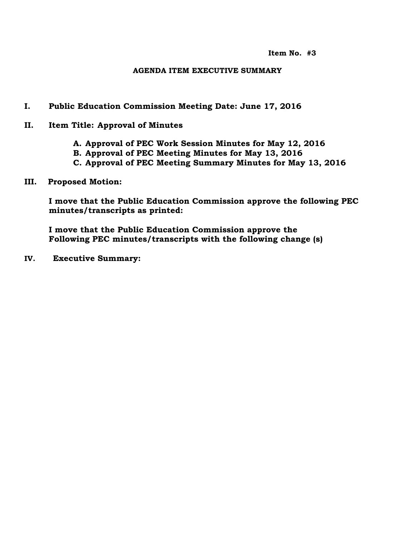**Item No. #3**

#### **AGENDA ITEM EXECUTIVE SUMMARY**

- **I. Public Education Commission Meeting Date: June 17, 2016**
- **II. Item Title: Approval of Minutes**
	- **A. Approval of PEC Work Session Minutes for May 12, 2016**
	- **B. Approval of PEC Meeting Minutes for May 13, 2016**
	- **C. Approval of PEC Meeting Summary Minutes for May 13, 2016**
- **III. Proposed Motion:**

**I move that the Public Education Commission approve the following PEC minutes/transcripts as printed:**

**I move that the Public Education Commission approve the Following PEC minutes/transcripts with the following change (s)**

**IV. Executive Summary:**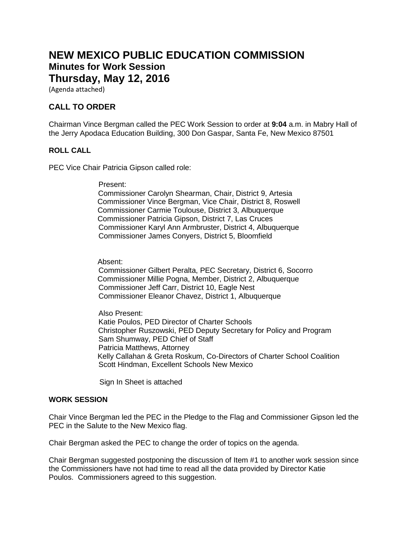# **NEW MEXICO PUBLIC EDUCATION COMMISSION Minutes for Work Session Thursday, May 12, 2016**

(Agenda attached)

## **CALL TO ORDER**

Chairman Vince Bergman called the PEC Work Session to order at **9:04** a.m. in Mabry Hall of the Jerry Apodaca Education Building, 300 Don Gaspar, Santa Fe, New Mexico 87501

#### **ROLL CALL**

PEC Vice Chair Patricia Gipson called role:

Present:

 Commissioner Carolyn Shearman, Chair, District 9, Artesia Commissioner Vince Bergman, Vice Chair, District 8, Roswell Commissioner Carmie Toulouse, District 3, Albuquerque Commissioner Patricia Gipson, District 7, Las Cruces Commissioner Karyl Ann Armbruster, District 4, Albuquerque Commissioner James Conyers, District 5, Bloomfield

Absent:

 Commissioner Gilbert Peralta, PEC Secretary, District 6, Socorro Commissioner Millie Pogna, Member, District 2, Albuquerque Commissioner Jeff Carr, District 10, Eagle Nest Commissioner Eleanor Chavez, District 1, Albuquerque

 Also Present: Katie Poulos, PED Director of Charter Schools Christopher Ruszowski, PED Deputy Secretary for Policy and Program Sam Shumway, PED Chief of Staff Patricia Matthews, Attorney Kelly Callahan & Greta Roskum, Co-Directors of Charter School Coalition Scott Hindman, Excellent Schools New Mexico

Sign In Sheet is attached

#### **WORK SESSION**

Chair Vince Bergman led the PEC in the Pledge to the Flag and Commissioner Gipson led the PEC in the Salute to the New Mexico flag.

Chair Bergman asked the PEC to change the order of topics on the agenda.

Chair Bergman suggested postponing the discussion of Item #1 to another work session since the Commissioners have not had time to read all the data provided by Director Katie Poulos. Commissioners agreed to this suggestion.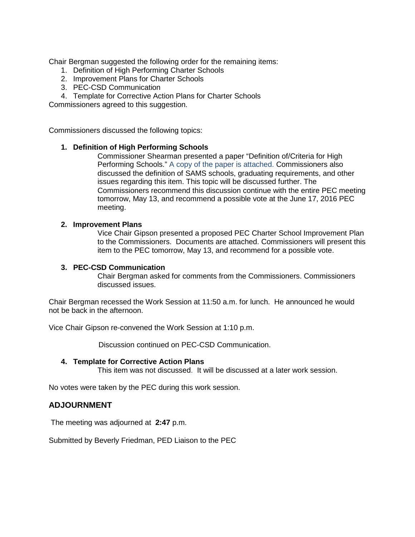Chair Bergman suggested the following order for the remaining items:

- 1. Definition of High Performing Charter Schools
- 2. Improvement Plans for Charter Schools
- 3. PEC-CSD Communication
- 4. Template for Corrective Action Plans for Charter Schools

Commissioners agreed to this suggestion.

Commissioners discussed the following topics:

#### **1. Definition of High Performing Schools**

Commissioner Shearman presented a paper "Definition of/Criteria for High Performing Schools." A copy of the paper is attached. Commissioners also discussed the definition of SAMS schools, graduating requirements, and other issues regarding this item. This topic will be discussed further. The Commissioners recommend this discussion continue with the entire PEC meeting tomorrow, May 13, and recommend a possible vote at the June 17, 2016 PEC meeting.

#### **2. Improvement Plans**

Vice Chair Gipson presented a proposed PEC Charter School Improvement Plan to the Commissioners. Documents are attached. Commissioners will present this item to the PEC tomorrow, May 13, and recommend for a possible vote.

#### **3. PEC-CSD Communication**

Chair Bergman asked for comments from the Commissioners. Commissioners discussed issues.

Chair Bergman recessed the Work Session at 11:50 a.m. for lunch. He announced he would not be back in the afternoon.

Vice Chair Gipson re-convened the Work Session at 1:10 p.m.

Discussion continued on PEC-CSD Communication.

#### **4. Template for Corrective Action Plans**

This item was not discussed. It will be discussed at a later work session.

No votes were taken by the PEC during this work session.

#### **ADJOURNMENT**

The meeting was adjourned at **2:47** p.m.

Submitted by Beverly Friedman, PED Liaison to the PEC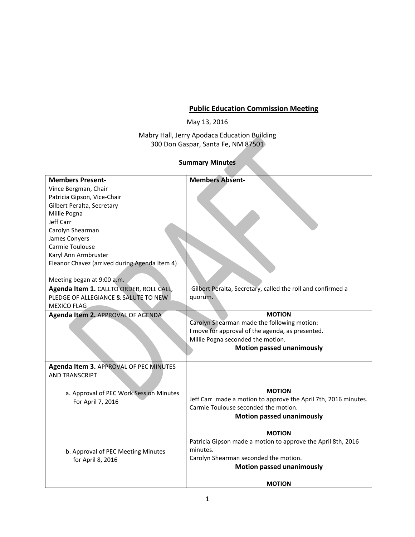# **Public Education Commission Meeting**

May 13, 2016

Mabry Hall, Jerry Apodaca Education Building 300 Don Gaspar, Santa Fe, NM 87501

### **Summary Minutes**

| <b>Members Present-</b>                       | <b>Members Absent-</b>                                          |
|-----------------------------------------------|-----------------------------------------------------------------|
| Vince Bergman, Chair                          |                                                                 |
| Patricia Gipson, Vice-Chair                   |                                                                 |
| Gilbert Peralta, Secretary                    |                                                                 |
| Millie Pogna                                  |                                                                 |
| Jeff Carr                                     |                                                                 |
| Carolyn Shearman                              |                                                                 |
| James Conyers                                 |                                                                 |
| Carmie Toulouse                               |                                                                 |
| Karyl Ann Armbruster                          |                                                                 |
| Eleanor Chavez (arrived during Agenda Item 4) |                                                                 |
|                                               |                                                                 |
| Meeting began at 9:00 a.m.                    |                                                                 |
| Agenda Item 1. CALLTO ORDER, ROLL CALL,       | Gilbert Peralta, Secretary, called the roll and confirmed a     |
| PLEDGE OF ALLEGIANCE & SALUTE TO NEW          | quorum.                                                         |
| MEXICO FLAG                                   |                                                                 |
| Agenda Item 2. APPROVAL OF AGENDA             | <b>MOTION</b>                                                   |
|                                               | Carolyn Shearman made the following motion:                     |
|                                               | I move for approval of the agenda, as presented.                |
|                                               | Millie Pogna seconded the motion.                               |
|                                               | <b>Motion passed unanimously</b>                                |
|                                               |                                                                 |
| Agenda Item 3. APPROVAL OF PEC MINUTES        |                                                                 |
| <b>AND TRANSCRIPT</b>                         |                                                                 |
|                                               |                                                                 |
|                                               | <b>MOTION</b>                                                   |
| a. Approval of PEC Work Session Minutes       | Jeff Carr made a motion to approve the April 7th, 2016 minutes. |
| For April 7, 2016                             | Carmie Toulouse seconded the motion.                            |
|                                               | <b>Motion passed unanimously</b>                                |
|                                               |                                                                 |
|                                               | <b>MOTION</b>                                                   |
|                                               | Patricia Gipson made a motion to approve the April 8th, 2016    |
| b. Approval of PEC Meeting Minutes            | minutes.                                                        |
| for April 8, 2016                             | Carolyn Shearman seconded the motion.                           |
|                                               | <b>Motion passed unanimously</b>                                |
|                                               |                                                                 |
|                                               | <b>MOTION</b>                                                   |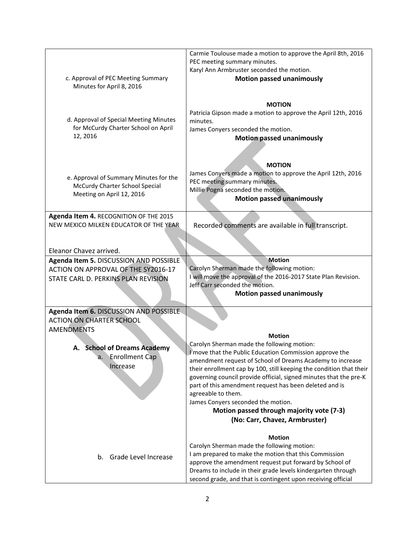|                                                             | Carmie Toulouse made a motion to approve the April 8th, 2016              |
|-------------------------------------------------------------|---------------------------------------------------------------------------|
|                                                             | PEC meeting summary minutes.                                              |
|                                                             | Karyl Ann Armbruster seconded the motion.                                 |
| c. Approval of PEC Meeting Summary                          | <b>Motion passed unanimously</b>                                          |
| Minutes for April 8, 2016                                   |                                                                           |
|                                                             |                                                                           |
|                                                             | <b>MOTION</b>                                                             |
| d. Approval of Special Meeting Minutes                      | Patricia Gipson made a motion to approve the April 12th, 2016<br>minutes. |
| for McCurdy Charter School on April                         | James Conyers seconded the motion.                                        |
| 12, 2016                                                    | <b>Motion passed unanimously</b>                                          |
|                                                             |                                                                           |
|                                                             |                                                                           |
|                                                             | <b>MOTION</b>                                                             |
|                                                             | James Conyers made a motion to approve the April 12th, 2016               |
| e. Approval of Summary Minutes for the                      | PEC meeting summary minutes.                                              |
| McCurdy Charter School Special<br>Meeting on April 12, 2016 | Millie Pogna seconded the motion.                                         |
|                                                             | <b>Motion passed unanimously</b>                                          |
|                                                             |                                                                           |
| Agenda Item 4. RECOGNITION OF THE 2015                      |                                                                           |
| NEW MEXICO MILKEN EDUCATOR OF THE YEAR                      | Recorded comments are available in full transcript.                       |
|                                                             |                                                                           |
| Eleanor Chavez arrived.                                     |                                                                           |
| Agenda Item 5. DISCUSSION AND POSSIBLE                      | Motion                                                                    |
| ACTION ON APPROVAL OF THE SY2016-17                         | Carolyn Sherman made the following motion:                                |
| STATE CARL D. PERKINS PLAN REVISION                         | I will move the approval of the 2016-2017 State Plan Revision.            |
|                                                             | Jeff Carr seconded the motion.                                            |
|                                                             | <b>Motion passed unanimously</b>                                          |
|                                                             |                                                                           |
| Agenda Item 6. DISCUSSION AND POSSIBLE                      |                                                                           |
| <b>ACTION ON CHARTER SCHOOL</b>                             |                                                                           |
| <b>AMENDMENTS</b>                                           | <b>Motion</b>                                                             |
|                                                             | Carolyn Sherman made the following motion:                                |
| A. School of Dreams Academy                                 | I move that the Public Education Commission approve the                   |
| <b>Enrollment Cap</b><br>a.                                 | amendment request of School of Dreams Academy to increase                 |
| Increase                                                    | their enrollment cap by 100, still keeping the condition that their       |
|                                                             | governing council provide official, signed minutes that the pre-K         |
|                                                             | part of this amendment request has been deleted and is                    |
|                                                             | agreeable to them.                                                        |
|                                                             | James Conyers seconded the motion.                                        |
|                                                             | Motion passed through majority vote (7-3)                                 |
|                                                             | (No: Carr, Chavez, Armbruster)                                            |
|                                                             | <b>Motion</b>                                                             |
|                                                             | Carolyn Sherman made the following motion:                                |
| Grade Level Increase<br>b.                                  | I am prepared to make the motion that this Commission                     |
|                                                             | approve the amendment request put forward by School of                    |
|                                                             | Dreams to include in their grade levels kindergarten through              |
|                                                             | second grade, and that is contingent upon receiving official              |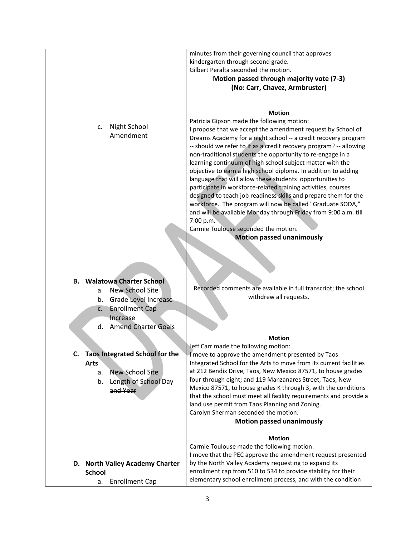|                                         | minutes from their governing council that approves<br>kindergarten through second grade.                                            |
|-----------------------------------------|-------------------------------------------------------------------------------------------------------------------------------------|
|                                         | Gilbert Peralta seconded the motion.                                                                                                |
|                                         | Motion passed through majority vote (7-3)                                                                                           |
|                                         | (No: Carr, Chavez, Armbruster)                                                                                                      |
|                                         |                                                                                                                                     |
|                                         |                                                                                                                                     |
|                                         | <b>Motion</b>                                                                                                                       |
| Night School<br>c.                      | Patricia Gipson made the following motion:<br>I propose that we accept the amendment request by School of                           |
| Amendment                               | Dreams Academy for a night school -- a credit recovery program                                                                      |
|                                         | -- should we refer to it as a credit recovery program? -- allowing                                                                  |
|                                         | non-traditional students the opportunity to re-engage in a                                                                          |
|                                         | learning continuum of high school subject matter with the                                                                           |
|                                         | objective to earn a high school diploma. In addition to adding                                                                      |
|                                         | language that will allow these students opportunities to<br>participate in workforce-related training activities, courses           |
|                                         | designed to teach job readiness skills and prepare them for the                                                                     |
|                                         | workforce. The program will now be called "Graduate SODA,"                                                                          |
|                                         | and will be available Monday through Friday from 9:00 a.m. till                                                                     |
|                                         | 7:00 p.m.                                                                                                                           |
|                                         | Carmie Toulouse seconded the motion.                                                                                                |
|                                         | <b>Motion passed unanimously</b>                                                                                                    |
|                                         |                                                                                                                                     |
|                                         |                                                                                                                                     |
|                                         |                                                                                                                                     |
| <b>B.</b> Walatowa Charter School       |                                                                                                                                     |
| <b>New School Site</b><br>a.            | Recorded comments are available in full transcript; the school<br>withdrew all requests.                                            |
| Grade Level Increase<br>b.              |                                                                                                                                     |
| <b>Enrollment Cap</b><br>c.<br>Increase |                                                                                                                                     |
| <b>Amend Charter Goals</b><br>d.        |                                                                                                                                     |
|                                         |                                                                                                                                     |
|                                         | <b>Motion</b><br>Jeff Carr made the following motion:                                                                               |
| C. Taos Integrated School for the       | I move to approve the amendment presented by Taos                                                                                   |
| <b>Arts</b>                             | Integrated School for the Arts to move from its current facilities                                                                  |
| <b>New School Site</b><br>a.            | at 212 Bendix Drive, Taos, New Mexico 87571, to house grades                                                                        |
| Length of School Day<br>b.              | four through eight; and 119 Manzanares Street, Taos, New                                                                            |
| and Year                                | Mexico 87571, to house grades K through 3, with the conditions<br>that the school must meet all facility requirements and provide a |
|                                         | land use permit from Taos Planning and Zoning.                                                                                      |
|                                         | Carolyn Sherman seconded the motion.                                                                                                |
|                                         | <b>Motion passed unanimously</b>                                                                                                    |
|                                         | <b>Motion</b>                                                                                                                       |
|                                         | Carmie Toulouse made the following motion:                                                                                          |
|                                         | I move that the PEC approve the amendment request presented                                                                         |
| D. North Valley Academy Charter         | by the North Valley Academy requesting to expand its                                                                                |
| <b>School</b>                           | enrollment cap from 510 to 534 to provide stability for their                                                                       |
| <b>Enrollment Cap</b><br>а.             | elementary school enrollment process, and with the condition                                                                        |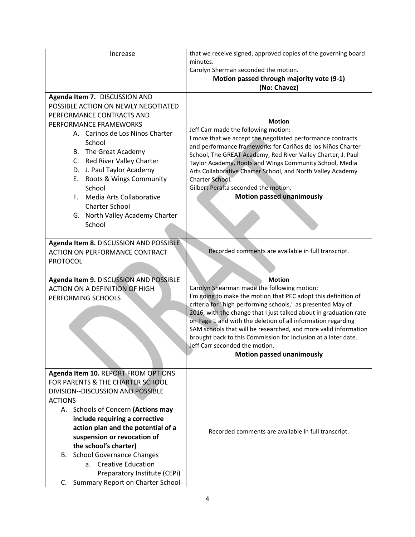| Increase                               | that we receive signed, approved copies of the governing board    |
|----------------------------------------|-------------------------------------------------------------------|
|                                        | minutes.                                                          |
|                                        | Carolyn Sherman seconded the motion.                              |
|                                        | Motion passed through majority vote (9-1)                         |
|                                        | (No: Chavez)                                                      |
| Agenda Item 7. DISCUSSION AND          |                                                                   |
| POSSIBLE ACTION ON NEWLY NEGOTIATED    |                                                                   |
| PERFORMANCE CONTRACTS AND              | <b>Motion</b>                                                     |
| PERFORMANCE FRAMEWORKS                 | Jeff Carr made the following motion:                              |
| A. Carinos de Los Ninos Charter        | I move that we accept the negotiated performance contracts        |
| School                                 | and performance frameworks for Cariños de los Niños Charter       |
| B. The Great Academy                   | School, The GREAT Academy, Red River Valley Charter, J. Paul      |
| C. Red River Valley Charter            | Taylor Academy, Roots and Wings Community School, Media           |
| D. J. Paul Taylor Academy              | Arts Collaborative Charter School, and North Valley Academy       |
| E. Roots & Wings Community             | Charter School.                                                   |
| School                                 | Gilbert Peralta seconded the motion.                              |
| F. Media Arts Collaborative            | <b>Motion passed unanimously</b>                                  |
| <b>Charter School</b>                  |                                                                   |
| G. North Valley Academy Charter        |                                                                   |
| School                                 |                                                                   |
|                                        |                                                                   |
| Agenda Item 8. DISCUSSION AND POSSIBLE |                                                                   |
| <b>ACTION ON PERFORMANCE CONTRACT</b>  | Recorded comments are available in full transcript.               |
| <b>PROTOCOL</b>                        |                                                                   |
|                                        |                                                                   |
| Agenda Item 9. DISCUSSION AND POSSIBLE | <b>Motion</b>                                                     |
| <b>ACTION ON A DEFINITION OF HIGH</b>  | Carolyn Shearman made the following motion:                       |
| PERFORMING SCHOOLS                     | I'm going to make the motion that PEC adopt this definition of    |
|                                        | criteria for "high performing schools," as presented May of       |
|                                        | 2016, with the change that I just talked about in graduation rate |
|                                        | on Page 1 and with the deletion of all information regarding      |
|                                        | SAM schools that will be researched, and more valid information   |
|                                        | brought back to this Commission for inclusion at a later date.    |
|                                        | Jeff Carr seconded the motion.                                    |
|                                        | <b>Motion passed unanimously</b>                                  |
|                                        |                                                                   |
| Agenda Item 10. REPORT FROM OPTIONS    |                                                                   |
| FOR PARENTS & THE CHARTER SCHOOL       |                                                                   |
| DIVISION--DISCUSSION AND POSSIBLE      |                                                                   |
| <b>ACTIONS</b>                         |                                                                   |
| A. Schools of Concern (Actions may     |                                                                   |
| include requiring a corrective         |                                                                   |
| action plan and the potential of a     | Recorded comments are available in full transcript.               |
| suspension or revocation of            |                                                                   |
| the school's charter)                  |                                                                   |
| <b>School Governance Changes</b><br>В. |                                                                   |
| a. Creative Education                  |                                                                   |
|                                        |                                                                   |
| Preparatory Institute (CEPi)           |                                                                   |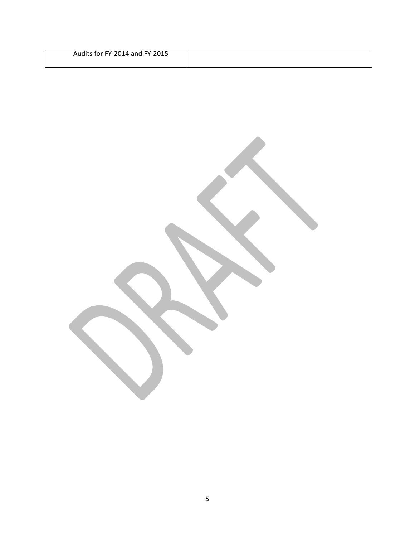| Audits for FY-2014 and FY-2015 |  |
|--------------------------------|--|
|                                |  |